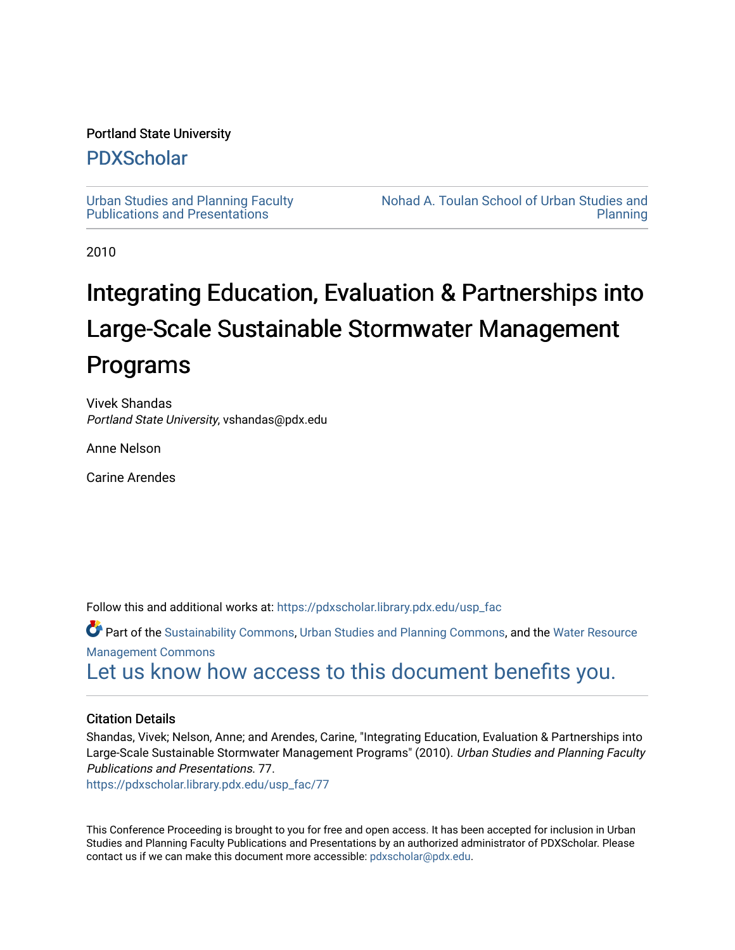#### Portland State University

## [PDXScholar](https://pdxscholar.library.pdx.edu/)

[Urban Studies and Planning Faculty](https://pdxscholar.library.pdx.edu/usp_fac)  [Publications and Presentations](https://pdxscholar.library.pdx.edu/usp_fac) 

[Nohad A. Toulan School of Urban Studies and](https://pdxscholar.library.pdx.edu/usp)  [Planning](https://pdxscholar.library.pdx.edu/usp) 

2010

# Integrating Education, Evaluation & Partnerships into Large-Scale Sustainable Stormwater Management Programs

Vivek Shandas Portland State University, vshandas@pdx.edu

Anne Nelson

Carine Arendes

Follow this and additional works at: [https://pdxscholar.library.pdx.edu/usp\\_fac](https://pdxscholar.library.pdx.edu/usp_fac?utm_source=pdxscholar.library.pdx.edu%2Fusp_fac%2F77&utm_medium=PDF&utm_campaign=PDFCoverPages)

Part of the [Sustainability Commons](http://network.bepress.com/hgg/discipline/1031?utm_source=pdxscholar.library.pdx.edu%2Fusp_fac%2F77&utm_medium=PDF&utm_campaign=PDFCoverPages), [Urban Studies and Planning Commons,](http://network.bepress.com/hgg/discipline/436?utm_source=pdxscholar.library.pdx.edu%2Fusp_fac%2F77&utm_medium=PDF&utm_campaign=PDFCoverPages) and the [Water Resource](http://network.bepress.com/hgg/discipline/1057?utm_source=pdxscholar.library.pdx.edu%2Fusp_fac%2F77&utm_medium=PDF&utm_campaign=PDFCoverPages) [Management Commons](http://network.bepress.com/hgg/discipline/1057?utm_source=pdxscholar.library.pdx.edu%2Fusp_fac%2F77&utm_medium=PDF&utm_campaign=PDFCoverPages)

[Let us know how access to this document benefits you.](http://library.pdx.edu/services/pdxscholar-services/pdxscholar-feedback/?ref=https://pdxscholar.library.pdx.edu/usp_fac/77) 

#### Citation Details

Shandas, Vivek; Nelson, Anne; and Arendes, Carine, "Integrating Education, Evaluation & Partnerships into Large-Scale Sustainable Stormwater Management Programs" (2010). Urban Studies and Planning Faculty Publications and Presentations. 77.

[https://pdxscholar.library.pdx.edu/usp\\_fac/77](https://pdxscholar.library.pdx.edu/usp_fac/77?utm_source=pdxscholar.library.pdx.edu%2Fusp_fac%2F77&utm_medium=PDF&utm_campaign=PDFCoverPages) 

This Conference Proceeding is brought to you for free and open access. It has been accepted for inclusion in Urban Studies and Planning Faculty Publications and Presentations by an authorized administrator of PDXScholar. Please contact us if we can make this document more accessible: [pdxscholar@pdx.edu](mailto:pdxscholar@pdx.edu).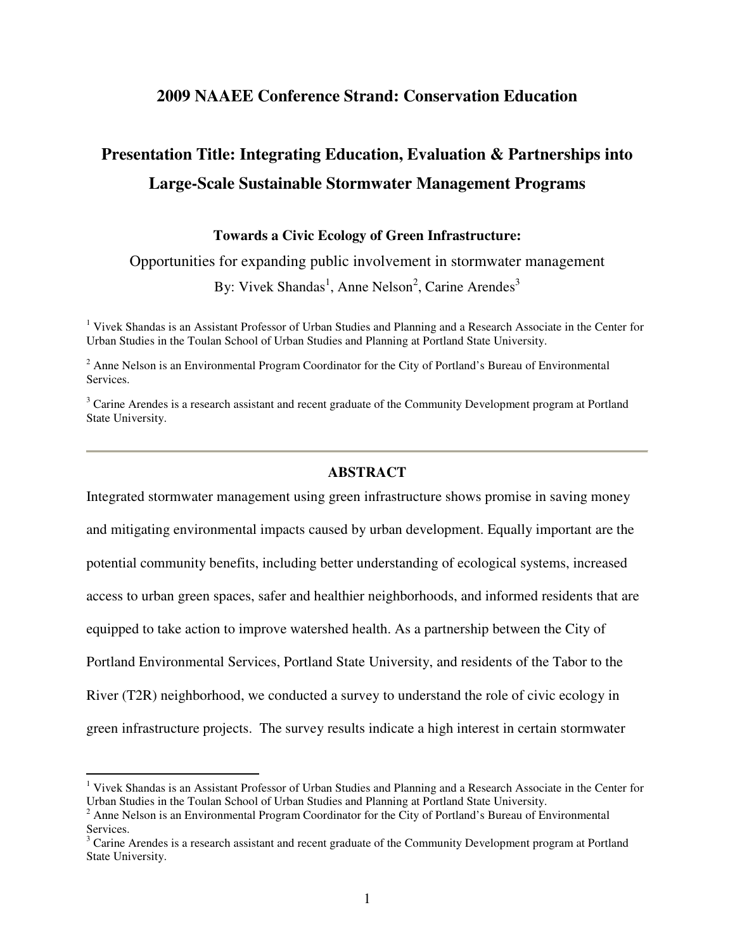### **2009 NAAEE Conference Strand: Conservation Education**

# **Presentation Title: Integrating Education, Evaluation & Partnerships into Large-Scale Sustainable Stormwater Management Programs**

#### **Towards a Civic Ecology of Green Infrastructure:**

Opportunities for expanding public involvement in stormwater management

By: Vivek Shandas<sup>1</sup>, Anne Nelson<sup>2</sup>, Carine Arendes<sup>3</sup>

<sup>1</sup> Vivek Shandas is an Assistant Professor of Urban Studies and Planning and a Research Associate in the Center for Urban Studies in the Toulan School of Urban Studies and Planning at Portland State University.

 $2^2$  Anne Nelson is an Environmental Program Coordinator for the City of Portland's Bureau of Environmental Services.

<sup>3</sup> Carine Arendes is a research assistant and recent graduate of the Community Development program at Portland State University.

#### **ABSTRACT**

Integrated stormwater management using green infrastructure shows promise in saving money and mitigating environmental impacts caused by urban development. Equally important are the potential community benefits, including better understanding of ecological systems, increased access to urban green spaces, safer and healthier neighborhoods, and informed residents that are equipped to take action to improve watershed health. As a partnership between the City of Portland Environmental Services, Portland State University, and residents of the Tabor to the River (T2R) neighborhood, we conducted a survey to understand the role of civic ecology in green infrastructure projects. The survey results indicate a high interest in certain stormwater

 1 Vivek Shandas is an Assistant Professor of Urban Studies and Planning and a Research Associate in the Center for Urban Studies in the Toulan School of Urban Studies and Planning at Portland State University.

 $2$  Anne Nelson is an Environmental Program Coordinator for the City of Portland's Bureau of Environmental Services.

<sup>&</sup>lt;sup>3</sup> Carine Arendes is a research assistant and recent graduate of the Community Development program at Portland State University.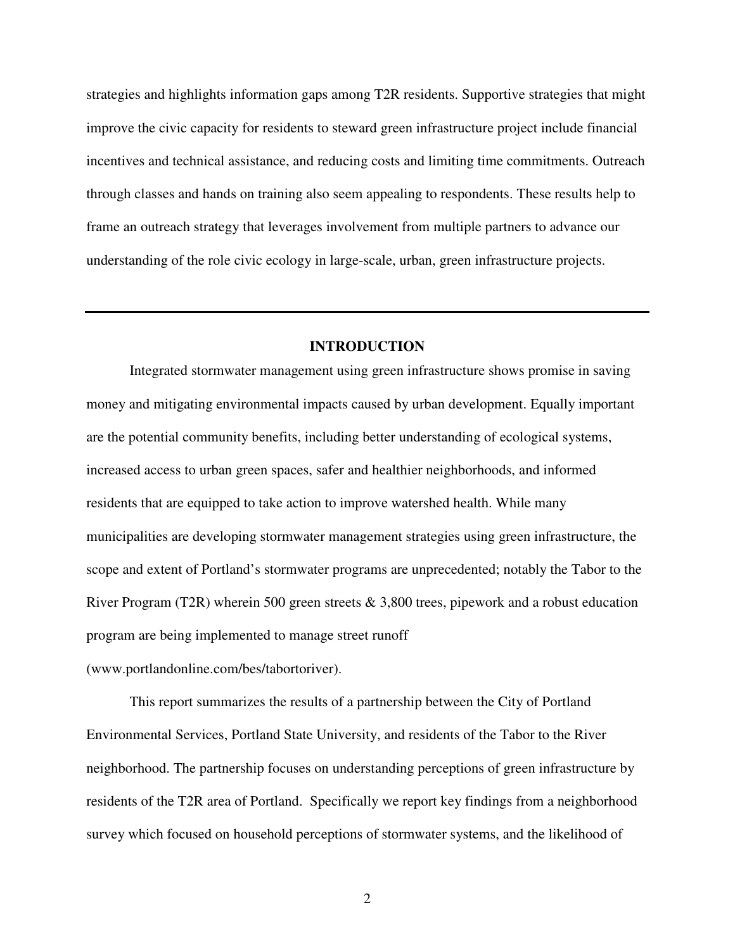strategies and highlights information gaps among T2R residents. Supportive strategies that might improve the civic capacity for residents to steward green infrastructure project include financial incentives and technical assistance, and reducing costs and limiting time commitments. Outreach through classes and hands on training also seem appealing to respondents. These results help to frame an outreach strategy that leverages involvement from multiple partners to advance our understanding of the role civic ecology in large-scale, urban, green infrastructure projects.

#### **INTRODUCTION**

Integrated stormwater management using green infrastructure shows promise in saving money and mitigating environmental impacts caused by urban development. Equally important are the potential community benefits, including better understanding of ecological systems, increased access to urban green spaces, safer and healthier neighborhoods, and informed residents that are equipped to take action to improve watershed health. While many municipalities are developing stormwater management strategies using green infrastructure, the scope and extent of Portland's stormwater programs are unprecedented; notably the Tabor to the River Program (T2R) wherein 500 green streets & 3,800 trees, pipework and a robust education program are being implemented to manage street runoff (www.portlandonline.com/bes/tabortoriver).

 This report summarizes the results of a partnership between the City of Portland Environmental Services, Portland State University, and residents of the Tabor to the River neighborhood. The partnership focuses on understanding perceptions of green infrastructure by residents of the T2R area of Portland. Specifically we report key findings from a neighborhood survey which focused on household perceptions of stormwater systems, and the likelihood of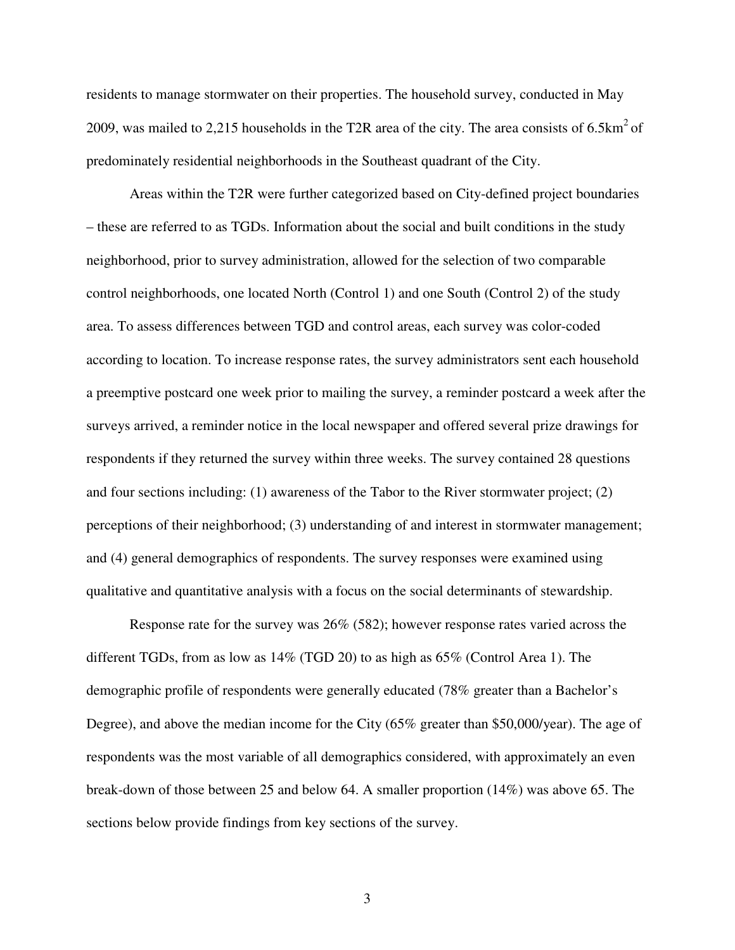residents to manage stormwater on their properties. The household survey, conducted in May 2009, was mailed to 2,215 households in the T2R area of the city. The area consists of  $6.5 \text{km}^2$  of predominately residential neighborhoods in the Southeast quadrant of the City.

 Areas within the T2R were further categorized based on City-defined project boundaries – these are referred to as TGDs. Information about the social and built conditions in the study neighborhood, prior to survey administration, allowed for the selection of two comparable control neighborhoods, one located North (Control 1) and one South (Control 2) of the study area. To assess differences between TGD and control areas, each survey was color-coded according to location. To increase response rates, the survey administrators sent each household a preemptive postcard one week prior to mailing the survey, a reminder postcard a week after the surveys arrived, a reminder notice in the local newspaper and offered several prize drawings for respondents if they returned the survey within three weeks. The survey contained 28 questions and four sections including: (1) awareness of the Tabor to the River stormwater project; (2) perceptions of their neighborhood; (3) understanding of and interest in stormwater management; and (4) general demographics of respondents. The survey responses were examined using qualitative and quantitative analysis with a focus on the social determinants of stewardship.

 Response rate for the survey was 26% (582); however response rates varied across the different TGDs, from as low as 14% (TGD 20) to as high as 65% (Control Area 1). The demographic profile of respondents were generally educated (78% greater than a Bachelor's Degree), and above the median income for the City (65% greater than \$50,000/year). The age of respondents was the most variable of all demographics considered, with approximately an even break-down of those between 25 and below 64. A smaller proportion (14%) was above 65. The sections below provide findings from key sections of the survey.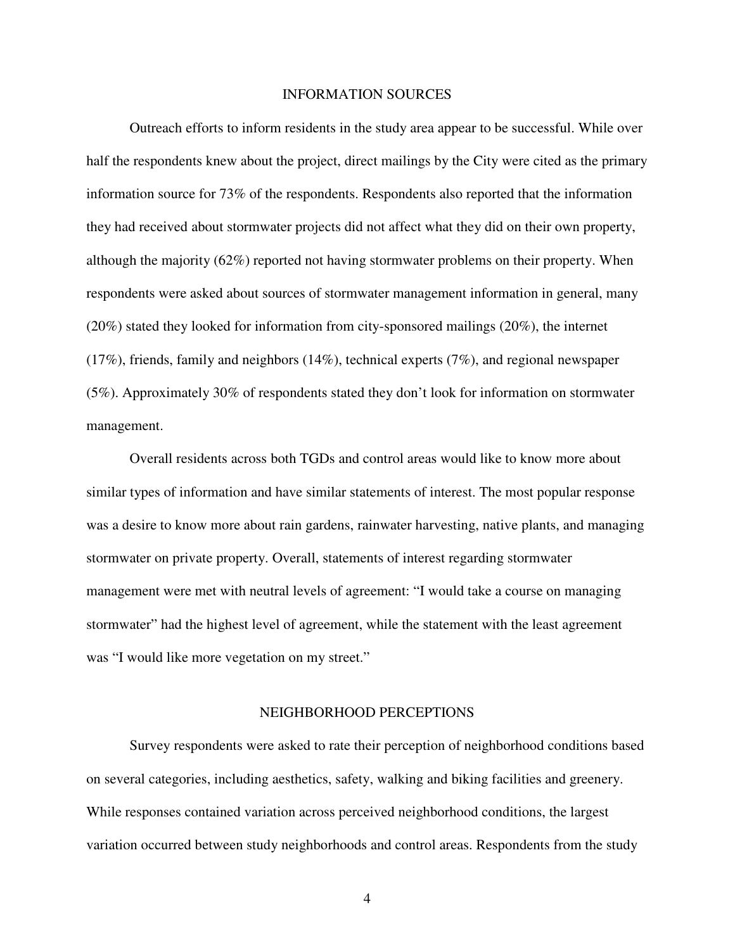#### INFORMATION SOURCES

 Outreach efforts to inform residents in the study area appear to be successful. While over half the respondents knew about the project, direct mailings by the City were cited as the primary information source for 73% of the respondents. Respondents also reported that the information they had received about stormwater projects did not affect what they did on their own property, although the majority (62%) reported not having stormwater problems on their property. When respondents were asked about sources of stormwater management information in general, many (20%) stated they looked for information from city-sponsored mailings (20%), the internet (17%), friends, family and neighbors (14%), technical experts (7%), and regional newspaper (5%). Approximately 30% of respondents stated they don't look for information on stormwater management.

 Overall residents across both TGDs and control areas would like to know more about similar types of information and have similar statements of interest. The most popular response was a desire to know more about rain gardens, rainwater harvesting, native plants, and managing stormwater on private property. Overall, statements of interest regarding stormwater management were met with neutral levels of agreement: "I would take a course on managing stormwater" had the highest level of agreement, while the statement with the least agreement was "I would like more vegetation on my street."

#### NEIGHBORHOOD PERCEPTIONS

 Survey respondents were asked to rate their perception of neighborhood conditions based on several categories, including aesthetics, safety, walking and biking facilities and greenery. While responses contained variation across perceived neighborhood conditions, the largest variation occurred between study neighborhoods and control areas. Respondents from the study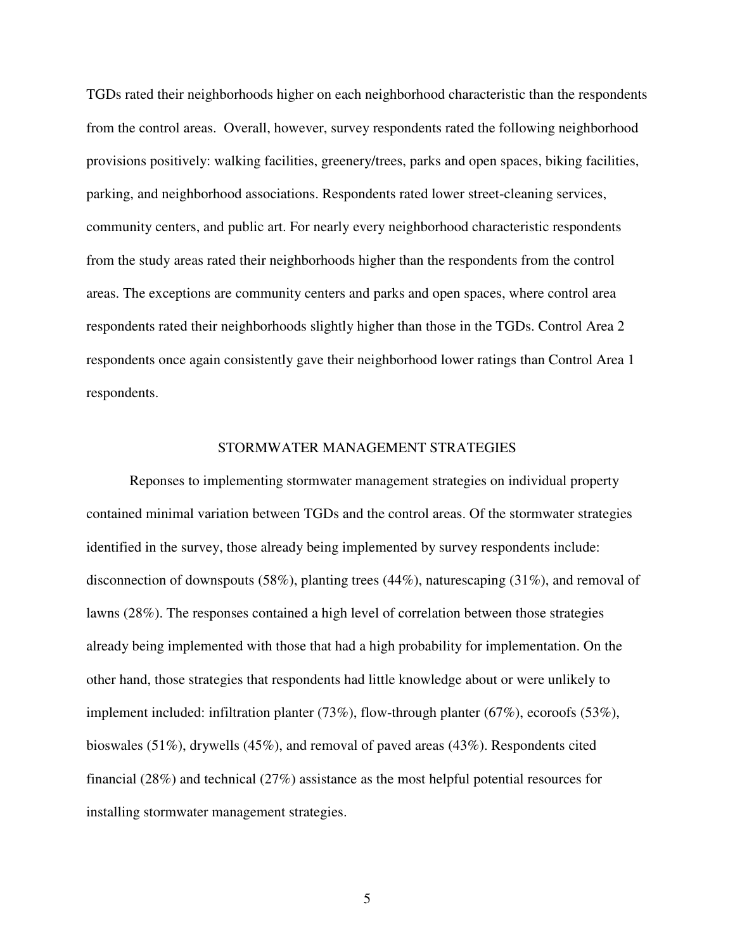TGDs rated their neighborhoods higher on each neighborhood characteristic than the respondents from the control areas. Overall, however, survey respondents rated the following neighborhood provisions positively: walking facilities, greenery/trees, parks and open spaces, biking facilities, parking, and neighborhood associations. Respondents rated lower street-cleaning services, community centers, and public art. For nearly every neighborhood characteristic respondents from the study areas rated their neighborhoods higher than the respondents from the control areas. The exceptions are community centers and parks and open spaces, where control area respondents rated their neighborhoods slightly higher than those in the TGDs. Control Area 2 respondents once again consistently gave their neighborhood lower ratings than Control Area 1 respondents.

#### STORMWATER MANAGEMENT STRATEGIES

 Reponses to implementing stormwater management strategies on individual property contained minimal variation between TGDs and the control areas. Of the stormwater strategies identified in the survey, those already being implemented by survey respondents include: disconnection of downspouts (58%), planting trees (44%), naturescaping (31%), and removal of lawns (28%). The responses contained a high level of correlation between those strategies already being implemented with those that had a high probability for implementation. On the other hand, those strategies that respondents had little knowledge about or were unlikely to implement included: infiltration planter (73%), flow-through planter (67%), ecoroofs (53%), bioswales (51%), drywells (45%), and removal of paved areas (43%). Respondents cited financial (28%) and technical (27%) assistance as the most helpful potential resources for installing stormwater management strategies.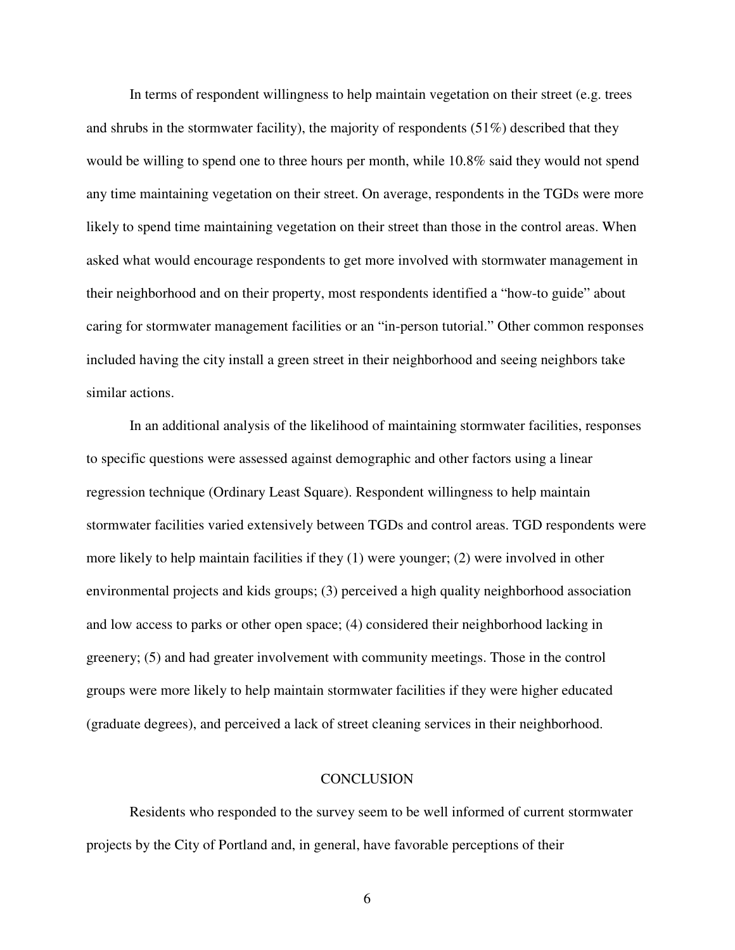In terms of respondent willingness to help maintain vegetation on their street (e.g. trees and shrubs in the stormwater facility), the majority of respondents (51%) described that they would be willing to spend one to three hours per month, while 10.8% said they would not spend any time maintaining vegetation on their street. On average, respondents in the TGDs were more likely to spend time maintaining vegetation on their street than those in the control areas. When asked what would encourage respondents to get more involved with stormwater management in their neighborhood and on their property, most respondents identified a "how-to guide" about caring for stormwater management facilities or an "in-person tutorial." Other common responses included having the city install a green street in their neighborhood and seeing neighbors take similar actions.

 In an additional analysis of the likelihood of maintaining stormwater facilities, responses to specific questions were assessed against demographic and other factors using a linear regression technique (Ordinary Least Square). Respondent willingness to help maintain stormwater facilities varied extensively between TGDs and control areas. TGD respondents were more likely to help maintain facilities if they (1) were younger; (2) were involved in other environmental projects and kids groups; (3) perceived a high quality neighborhood association and low access to parks or other open space; (4) considered their neighborhood lacking in greenery; (5) and had greater involvement with community meetings. Those in the control groups were more likely to help maintain stormwater facilities if they were higher educated (graduate degrees), and perceived a lack of street cleaning services in their neighborhood.

#### **CONCLUSION**

 Residents who responded to the survey seem to be well informed of current stormwater projects by the City of Portland and, in general, have favorable perceptions of their